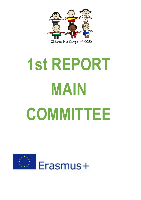

## **1st REPORT MAIN COMMITTEE**

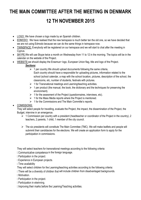## **THE MAIN COMMITTEE AFTER THE MEETING IN DENMARK 12 TH NOVEMBER 2015**

- LOGO: We have chosen a logo made by an Spanish children.
- EDMODO: We have realised that the new twinspace is much better tan the old one, so we have decided that we are not using Edmodo because we can do the same things in twinspace now.
- TWINSPACE: Everybody will be registered on our twinspace and we will start to chat after the meeting in Cyprus.
- SKYPE:We will use Skype twice a month on Wednesday from 11 to 12 in the morning. The topics will be in the calendar on the website of the Project.
- WEBSITE:we should display the Erasmus+ logo, European Union flag, title and logo of the Project. *Sections***:** 
	- $\geq 1$  per country. We should upload doccuments following the same criteria, Each country should have a responsible for uploading pictures, information related to the school (school calendar, a map with the school location, pictures, description of the school, the classrooms, etc, number of students, festivals with pictures.
	- $\geq 1$  for Transnational meetings and Learning/teaching activities.
	- $\geq 1$  per product (the manual, the book, the dictionary and the techniques for preserving the environment).
	- $\geq 1$  for the assesment of the Project (questionnaires, interviews, etc).
	- $\geq 1$  for the Mass Media reports where the Project is mentioned.
	- $\geq 1$  for the Commissions and The Main Committe's reports.

## COMISSIONS:

They will select people for travelling, evaluate the Project, the impact, the dissemination of the Project, the Budget, intervine in an emergence.

- $\geq 1$  Commission per country with a president (headteacher or coordinator of the Project in the country), 2 teachers, 2 parents, 1 child, 1 member of the city council.
- $\triangleright$  The six presidents will constitute The Main Commitee (TMC). We will make leaflets and people will submmit their candidacies for the elections. We will create an application form to apply for the participation in commissions.

They will select teachers for transnational meetings according to the following criteria:

**Communicative competence in the foreign language.** 

- **I** Participation in the project.
- **I** Experience in European projects.
- I Time availability

They will select children for the Learning/teaching activities according to the following criteria:

I There will be a diversity of children that will include children from disadvantaged backgrounds.

I Motivation.

- **I** Participation in the project.
- **I** Participation in etwinning.
- I Improving their marks before the Learning/Teaching activities.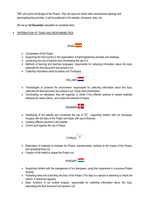TMC will control the Budget of the Project. They will report an inform after transnational meetings and learning/teaching activities. It will be published in the website, twinspace, diary, etc.

We set up **1st December** asdeadline to constitute them.

DISTRIBUTION OF TASKS AND RESPONSIBILITIES:



- $\triangleright$  Coordination of the Project
- $\triangleright$  Supporting the host country in the organisation of learning/teaching activities and meetings.
- $\triangleright$  Introducing the use of Edmodo and coordinating the use of it.
- *Methods of learning and teaching languages: responsable for collecting information about this topic, elaborate the final document and spread it out.*
- *Collecting information about Europass and Youthpass.*



- *Technologies to preserve the environment: responsable for collecting information about this topic, elaborate the final document and spread it out. Power point presentation.*
- $\triangleright$  Coordinating our twinspace: they will organise it, divide it into different sections to upload materials following the same criteria, and control the selection of topics.



- $\triangleright$  Developing of the website and coordinate the use of ITC, supporting Holland with our twinspace, Hungary with the diary of the Project and Spain with use of Edmodo.
- $\triangleright$  Creating different sections in the website
- $\triangleright$  Control and organise the use of Skype.



- $\triangleright$  Elaboration of materials to evaluate the Project, questionnaires, working on the impact of the Project, and spreading them out.
- $\triangleright$  Creation of the leaflet to spread the Project out.



- $\triangleright$  Supporting Holland with the management of our twinspace, using their experience in a previous Project recently.
- $\triangleright$  Publishing news and controlling the diary of the Project (The diary is a section in etwinning to inform the others). It should be regularly.
- *Basic functions in our mother tongues: responsable for collecting information about this topic, elaborating the final document and spread it out.*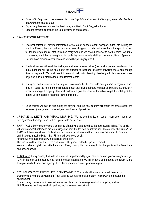

- *Book with fairy tales: responsable for collecting information about this topic, elaborate the final document and spread it out.*
- $\triangleright$  Organising the celebration of the Poetry day and World Book Day, other ideas.
- $\triangleright$  Creating forms to constitute the Commissions in each school.

## TRANSNATIONAL MEETINGS:

- $\triangleright$  The host partner will provide information to the rest of partners about transport, maps, etc. During the previous Project, the host partner organised everything (accomodation for teachers, transport to school for the meetings, meals, etc). It worked really well and we should consider to do the same. We must take into account that learning/teaching activities which include children are more difficult. Spain and Holland have previous experience and we will help Hungary with it.
- $\triangleright$  The host partner will send the final agenda at least a week before (the most important details) and the guest partners will tell the host about the number of teachers / students travelling there with enough time to prepare it. We must take into account that during learning/ teaching activities we must spare boys and girls to distribute them into different rooms.
- $\triangleright$  The guest partners will send the required information by the host with enough time to organise it and they will send the host partner all details about their flights (airport, number of flight and Schedule) in order to manage it properly. The host partner will give the others information to get the hotel/ pick the others up at the airport (teachers' cars, a bus, etc).
- $\triangleright$  Each partner will pay its bills during the staying, and the host country will inform the others about the expenses (hotel, meals, transport, etc) in advance (if possible) .
- CREATIVE SUBJECTS AND VISUAL LEARNING: We collected a lot of useful information about our colleagues' methodology which will be uploaded to our website.
- FAIRY TALES:Every country write a beginning of a fairytale and send it to the next country in line. The pupils will write a new "chapter" and make drawings and sent it to the next country in line. The country who writes "The END" sent the whole storie to Finland, who will take all six stories and turn it into one Fairtalebook. Every text and drawings must be digital - then Finland will be able to edit it.

Finland will make a schedule with deadlines and so on.

The line to mail the stories in: Cyprus - Finland - Hungary - Holland - Spain - Denmark

We can make a digital book with the stories. Every country find out a way to involve pupils with different age and special needs.

- EUROPASS: Every country has to fill in a form Europassmobility you have to contact your own agency to get it. Fill in the form to the country who hosted the last meeting, they will fill in some of the pages and return it, and then you send it to your own agency. If problems you must contact your own agency.
- TECHNOLOGIES TO PRESERVE THE ENVIRONMENT: The pupils will learn about what they can do themselves to help the environment. They can find out how we make energy - which way are best for the environment.

Every country choose a topic near to themselves. It can be: Sunenergy, windmills, recycling and so… 19th November we have to tell Holland two topics we want to work with.